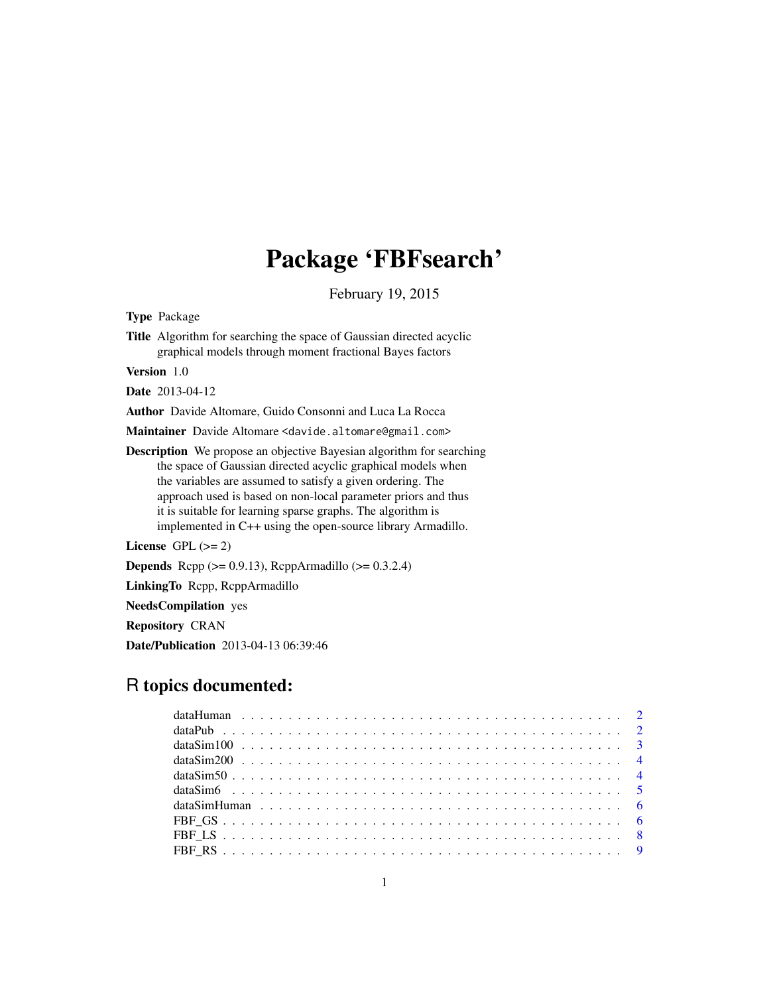## Package 'FBFsearch'

February 19, 2015

Type Package

Title Algorithm for searching the space of Gaussian directed acyclic graphical models through moment fractional Bayes factors

Version 1.0

Date 2013-04-12

Author Davide Altomare, Guido Consonni and Luca La Rocca

Maintainer Davide Altomare <davide.altomare@gmail.com>

Description We propose an objective Bayesian algorithm for searching the space of Gaussian directed acyclic graphical models when the variables are assumed to satisfy a given ordering. The approach used is based on non-local parameter priors and thus it is suitable for learning sparse graphs. The algorithm is implemented in C++ using the open-source library Armadillo.

License GPL  $(>= 2)$ 

Depends Rcpp (>= 0.9.13), RcppArmadillo (>= 0.3.2.4)

LinkingTo Rcpp, RcppArmadillo

NeedsCompilation yes

Repository CRAN

Date/Publication 2013-04-13 06:39:46

### R topics documented: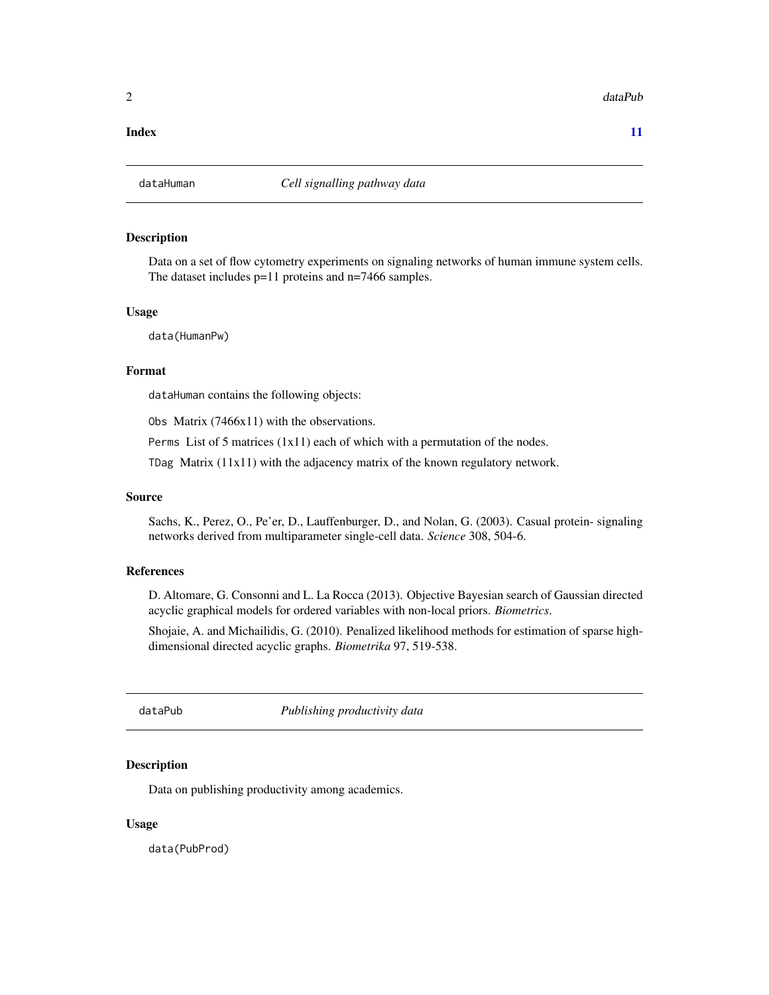<span id="page-1-0"></span> $2 \times 2$ 

#### **Index** [11](#page-10-0)

#### Description

Data on a set of flow cytometry experiments on signaling networks of human immune system cells. The dataset includes  $p=11$  proteins and n=7466 samples.

#### Usage

data(HumanPw)

#### Format

dataHuman contains the following objects:

Obs Matrix (7466x11) with the observations.

Perms List of 5 matrices (1x11) each of which with a permutation of the nodes.

TDag Matrix (11x11) with the adjacency matrix of the known regulatory network.

#### Source

Sachs, K., Perez, O., Pe'er, D., Lauffenburger, D., and Nolan, G. (2003). Casual protein- signaling networks derived from multiparameter single-cell data. *Science* 308, 504-6.

#### References

D. Altomare, G. Consonni and L. La Rocca (2013). Objective Bayesian search of Gaussian directed acyclic graphical models for ordered variables with non-local priors. *Biometrics*.

Shojaie, A. and Michailidis, G. (2010). Penalized likelihood methods for estimation of sparse highdimensional directed acyclic graphs. *Biometrika* 97, 519-538.

dataPub *Publishing productivity data*

#### Description

Data on publishing productivity among academics.

#### Usage

data(PubProd)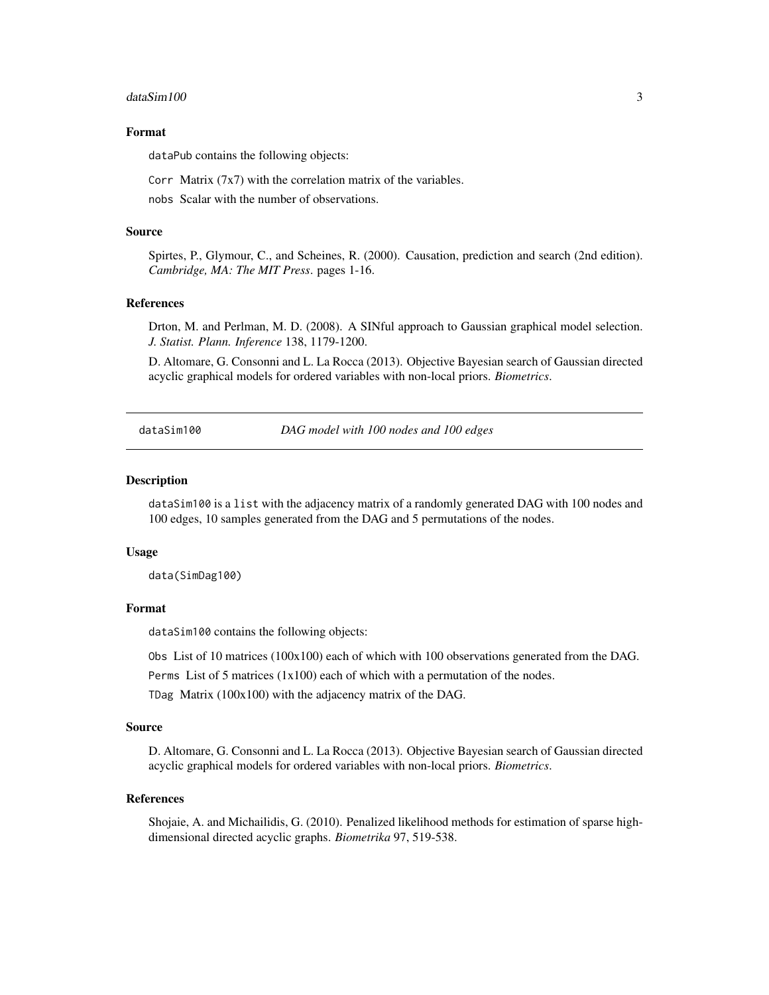#### <span id="page-2-0"></span> $dataSim100$  3

#### Format

dataPub contains the following objects:

Corr Matrix  $(7x7)$  with the correlation matrix of the variables.

nobs Scalar with the number of observations.

#### Source

Spirtes, P., Glymour, C., and Scheines, R. (2000). Causation, prediction and search (2nd edition). *Cambridge, MA: The MIT Press*. pages 1-16.

#### References

Drton, M. and Perlman, M. D. (2008). A SINful approach to Gaussian graphical model selection. *J. Statist. Plann. Inference* 138, 1179-1200.

D. Altomare, G. Consonni and L. La Rocca (2013). Objective Bayesian search of Gaussian directed acyclic graphical models for ordered variables with non-local priors. *Biometrics*.

dataSim100 *DAG model with 100 nodes and 100 edges*

#### Description

dataSim100 is a list with the adjacency matrix of a randomly generated DAG with 100 nodes and 100 edges, 10 samples generated from the DAG and 5 permutations of the nodes.

#### Usage

data(SimDag100)

#### Format

dataSim100 contains the following objects:

Obs List of 10 matrices (100x100) each of which with 100 observations generated from the DAG.

Perms List of 5 matrices (1x100) each of which with a permutation of the nodes.

TDag Matrix (100x100) with the adjacency matrix of the DAG.

#### Source

D. Altomare, G. Consonni and L. La Rocca (2013). Objective Bayesian search of Gaussian directed acyclic graphical models for ordered variables with non-local priors. *Biometrics*.

#### References

Shojaie, A. and Michailidis, G. (2010). Penalized likelihood methods for estimation of sparse highdimensional directed acyclic graphs. *Biometrika* 97, 519-538.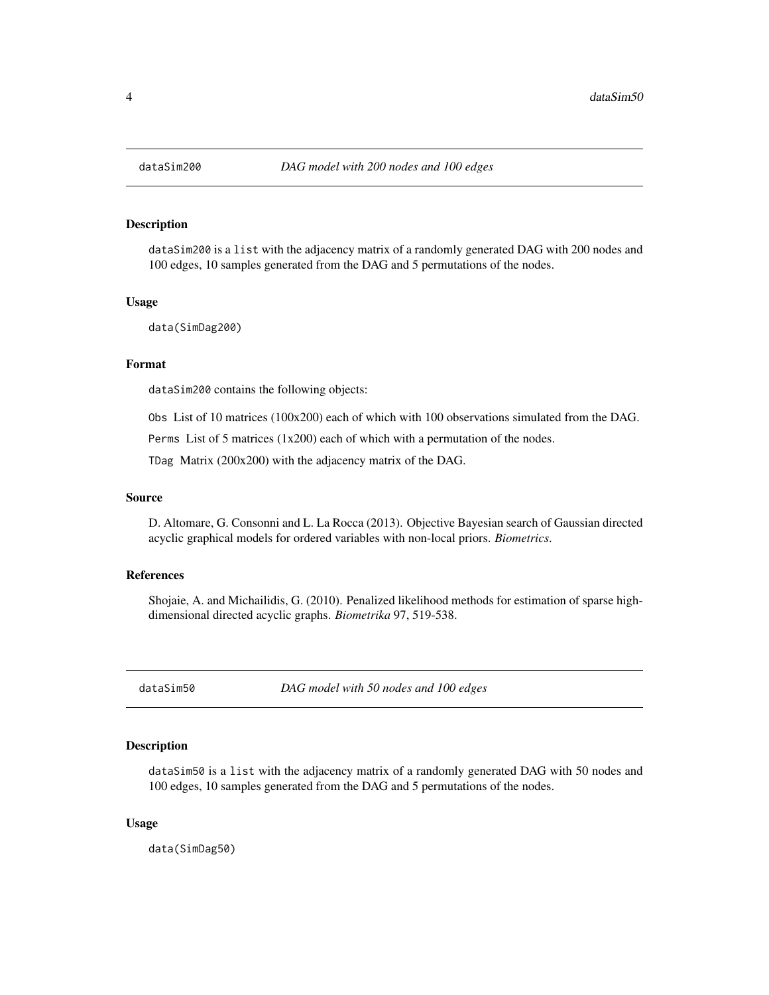#### <span id="page-3-0"></span>Description

dataSim200 is a list with the adjacency matrix of a randomly generated DAG with 200 nodes and 100 edges, 10 samples generated from the DAG and 5 permutations of the nodes.

#### Usage

data(SimDag200)

#### Format

dataSim200 contains the following objects:

Obs List of 10 matrices (100x200) each of which with 100 observations simulated from the DAG.

Perms List of 5 matrices (1x200) each of which with a permutation of the nodes.

TDag Matrix (200x200) with the adjacency matrix of the DAG.

#### Source

D. Altomare, G. Consonni and L. La Rocca (2013). Objective Bayesian search of Gaussian directed acyclic graphical models for ordered variables with non-local priors. *Biometrics*.

#### References

Shojaie, A. and Michailidis, G. (2010). Penalized likelihood methods for estimation of sparse highdimensional directed acyclic graphs. *Biometrika* 97, 519-538.

dataSim50 *DAG model with 50 nodes and 100 edges*

#### Description

dataSim50 is a list with the adjacency matrix of a randomly generated DAG with 50 nodes and 100 edges, 10 samples generated from the DAG and 5 permutations of the nodes.

#### Usage

data(SimDag50)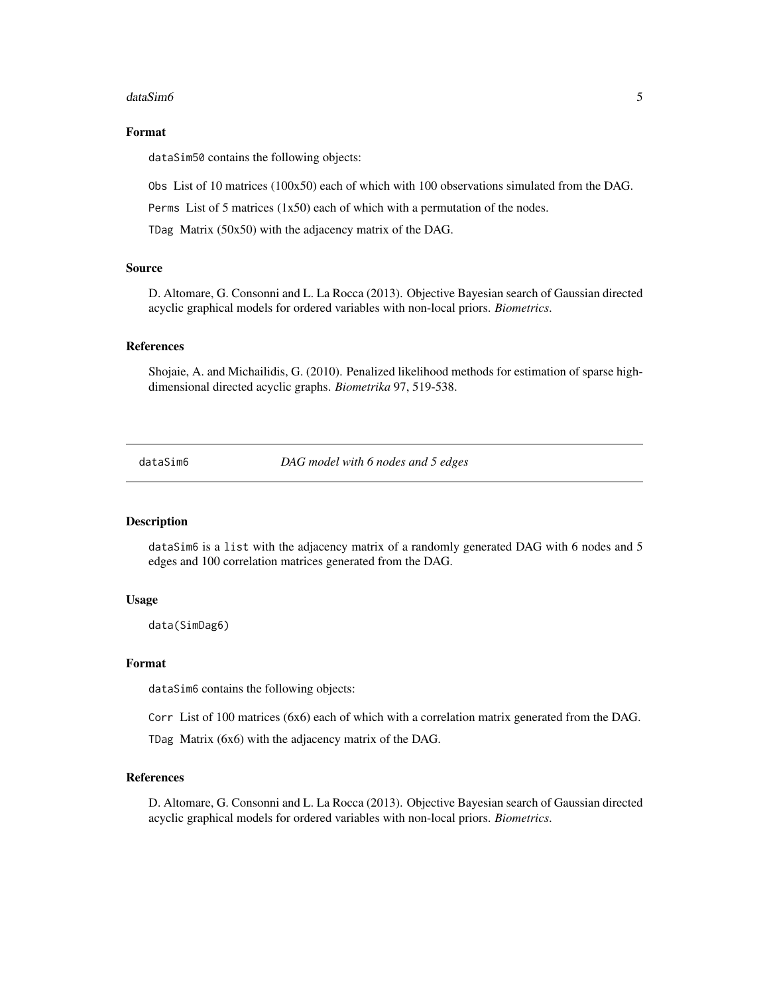#### <span id="page-4-0"></span> $dataSim6$  5

#### Format

dataSim50 contains the following objects:

Obs List of 10 matrices (100x50) each of which with 100 observations simulated from the DAG.

Perms List of 5 matrices  $(1x50)$  each of which with a permutation of the nodes.

TDag Matrix (50x50) with the adjacency matrix of the DAG.

#### Source

D. Altomare, G. Consonni and L. La Rocca (2013). Objective Bayesian search of Gaussian directed acyclic graphical models for ordered variables with non-local priors. *Biometrics*.

#### References

Shojaie, A. and Michailidis, G. (2010). Penalized likelihood methods for estimation of sparse highdimensional directed acyclic graphs. *Biometrika* 97, 519-538.

dataSim6 *DAG model with 6 nodes and 5 edges*

#### Description

dataSim6 is a list with the adjacency matrix of a randomly generated DAG with 6 nodes and 5 edges and 100 correlation matrices generated from the DAG.

#### Usage

data(SimDag6)

#### Format

dataSim6 contains the following objects:

Corr List of 100 matrices (6x6) each of which with a correlation matrix generated from the DAG.

TDag Matrix (6x6) with the adjacency matrix of the DAG.

#### References

D. Altomare, G. Consonni and L. La Rocca (2013). Objective Bayesian search of Gaussian directed acyclic graphical models for ordered variables with non-local priors. *Biometrics*.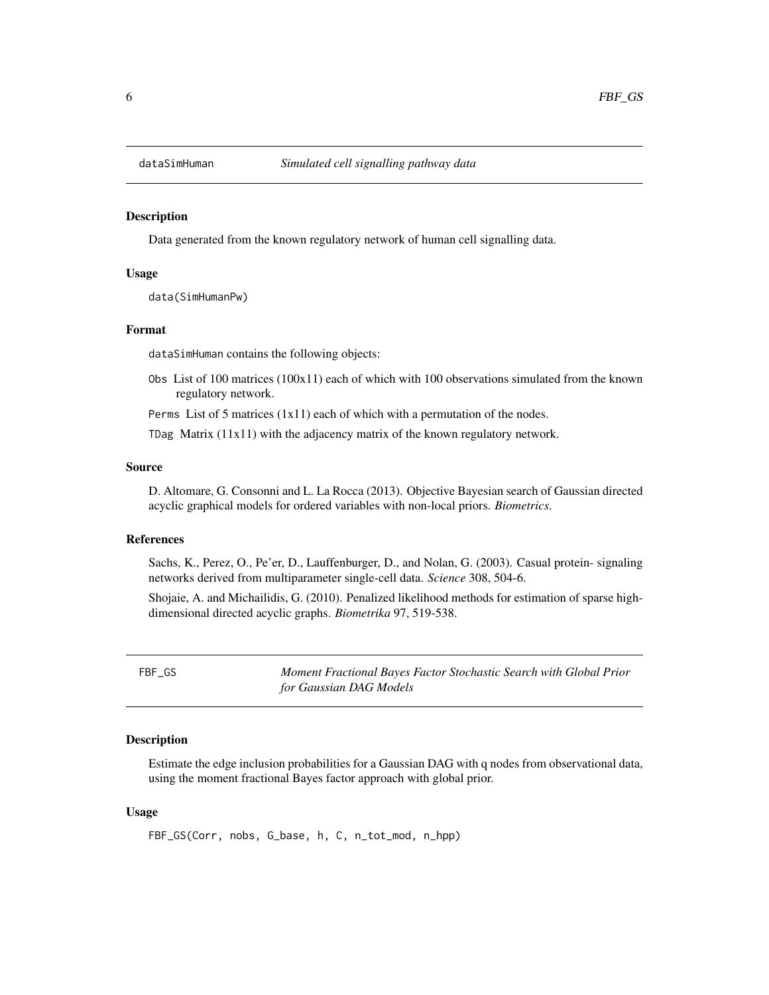<span id="page-5-0"></span>

#### Description

Data generated from the known regulatory network of human cell signalling data.

#### Usage

data(SimHumanPw)

#### Format

dataSimHuman contains the following objects:

Obs List of 100 matrices  $(100x11)$  each of which with 100 observations simulated from the known regulatory network.

Perms List of 5 matrices  $(1x11)$  each of which with a permutation of the nodes.

TDag Matrix (11x11) with the adjacency matrix of the known regulatory network.

#### Source

D. Altomare, G. Consonni and L. La Rocca (2013). Objective Bayesian search of Gaussian directed acyclic graphical models for ordered variables with non-local priors. *Biometrics*.

#### References

Sachs, K., Perez, O., Pe'er, D., Lauffenburger, D., and Nolan, G. (2003). Casual protein- signaling networks derived from multiparameter single-cell data. *Science* 308, 504-6.

Shojaie, A. and Michailidis, G. (2010). Penalized likelihood methods for estimation of sparse highdimensional directed acyclic graphs. *Biometrika* 97, 519-538.

FBF\_GS *Moment Fractional Bayes Factor Stochastic Search with Global Prior for Gaussian DAG Models*

#### Description

Estimate the edge inclusion probabilities for a Gaussian DAG with q nodes from observational data, using the moment fractional Bayes factor approach with global prior.

#### Usage

FBF\_GS(Corr, nobs, G\_base, h, C, n\_tot\_mod, n\_hpp)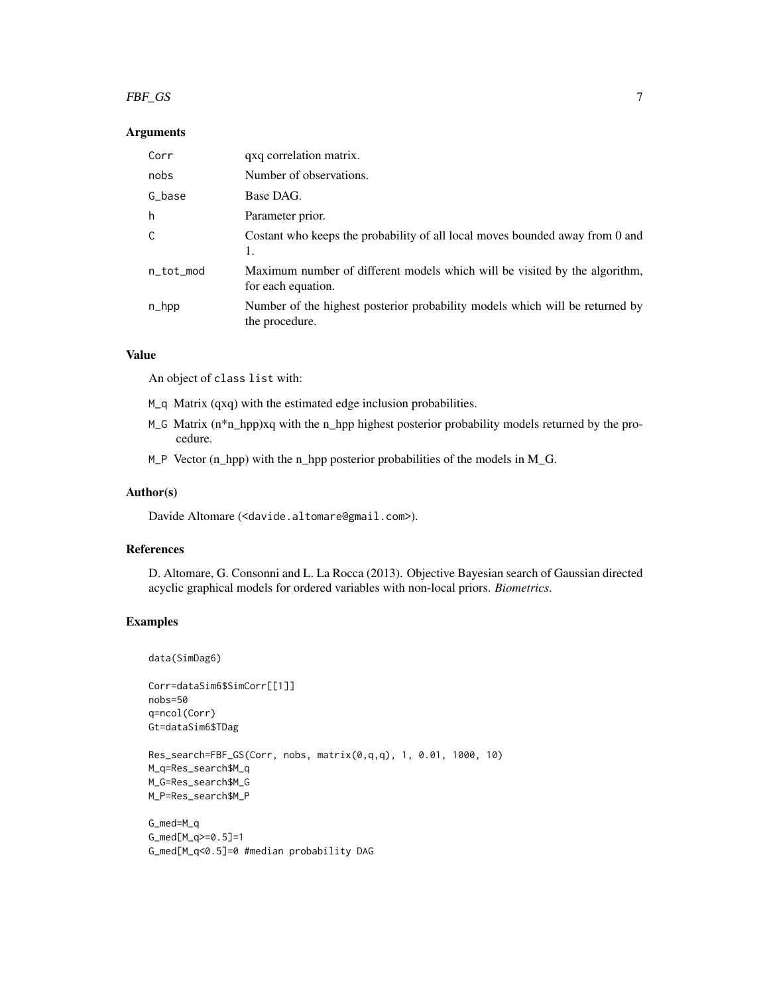#### $FBF\_GS$  7

#### Arguments

| Corr               | qxq correlation matrix.                                                                          |
|--------------------|--------------------------------------------------------------------------------------------------|
| nobs               | Number of observations.                                                                          |
| G_base             | Base DAG.                                                                                        |
| h                  | Parameter prior.                                                                                 |
| C                  | Costant who keeps the probability of all local moves bounded away from 0 and<br>1.               |
| n_tot_mod          | Maximum number of different models which will be visited by the algorithm,<br>for each equation. |
| $n_{\text{-}}$ hpp | Number of the highest posterior probability models which will be returned by<br>the procedure.   |

#### Value

An object of class list with:

M\_q Matrix (qxq) with the estimated edge inclusion probabilities.

- M\_G Matrix (n<sup>\*</sup>n\_hpp)xq with the n\_hpp highest posterior probability models returned by the procedure.
- $M_P$  Vector (n\_hpp) with the n\_hpp posterior probabilities of the models in  $M_G$ .

#### Author(s)

Davide Altomare (<davide.altomare@gmail.com>).

#### References

D. Altomare, G. Consonni and L. La Rocca (2013). Objective Bayesian search of Gaussian directed acyclic graphical models for ordered variables with non-local priors. *Biometrics*.

#### Examples

data(SimDag6)

Corr=dataSim6\$SimCorr[[1]] nobs=50 q=ncol(Corr) Gt=dataSim6\$TDag

Res\_search=FBF\_GS(Corr, nobs, matrix(0,q,q), 1, 0.01, 1000, 10) M\_q=Res\_search\$M\_q M\_G=Res\_search\$M\_G M\_P=Res\_search\$M\_P

G\_med=M\_q G\_med[M\_q>=0.5]=1 G\_med[M\_q<0.5]=0 #median probability DAG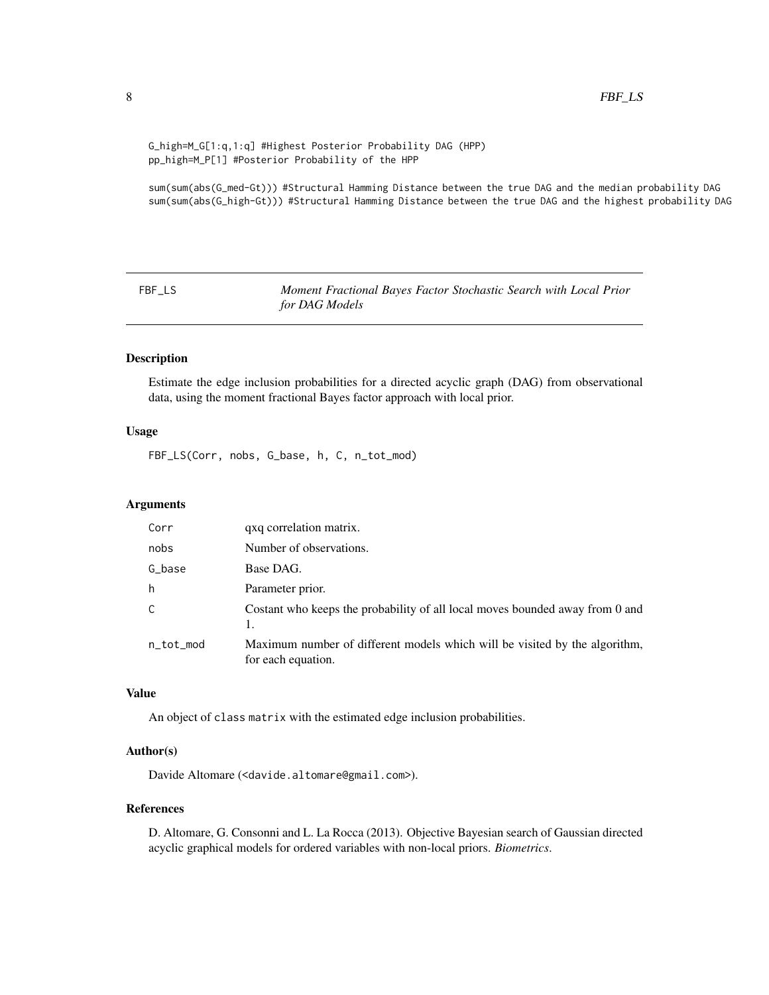```
G_high=M_G[1:q,1:q] #Highest Posterior Probability DAG (HPP)
pp_high=M_P[1] #Posterior Probability of the HPP
```
sum(sum(abs(G\_med-Gt))) #Structural Hamming Distance between the true DAG and the median probability DAG sum(sum(abs(G\_high-Gt))) #Structural Hamming Distance between the true DAG and the highest probability DAG

FBF\_LS *Moment Fractional Bayes Factor Stochastic Search with Local Prior for DAG Models*

#### Description

Estimate the edge inclusion probabilities for a directed acyclic graph (DAG) from observational data, using the moment fractional Bayes factor approach with local prior.

#### Usage

FBF\_LS(Corr, nobs, G\_base, h, C, n\_tot\_mod)

#### Arguments

| Corr      | qxq correlation matrix.                                                                          |
|-----------|--------------------------------------------------------------------------------------------------|
| nobs      | Number of observations.                                                                          |
| G_base    | Base DAG.                                                                                        |
| h         | Parameter prior.                                                                                 |
| C         | Costant who keeps the probability of all local moves bounded away from 0 and                     |
| n_tot_mod | Maximum number of different models which will be visited by the algorithm,<br>for each equation. |

#### Value

An object of class matrix with the estimated edge inclusion probabilities.

#### Author(s)

Davide Altomare (<davide.altomare@gmail.com>).

#### References

D. Altomare, G. Consonni and L. La Rocca (2013). Objective Bayesian search of Gaussian directed acyclic graphical models for ordered variables with non-local priors. *Biometrics*.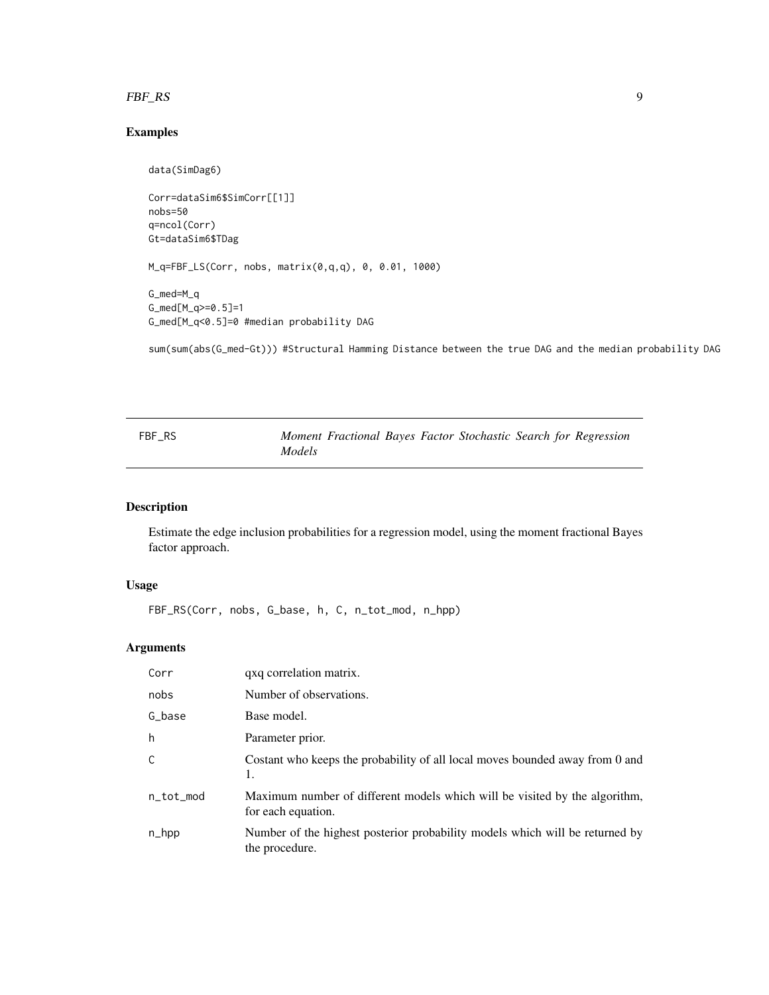#### <span id="page-8-0"></span> $FBF_RS$  9

#### Examples

```
data(SimDag6)
Corr=dataSim6$SimCorr[[1]]
nobs=50
q=ncol(Corr)
Gt=dataSim6$TDag
M_q=FBF_LS(Corr, nobs, matrix(0,q,q), 0, 0.01, 1000)
G_med=M_q
G_med[M_q>=0.5]=1
G_med[M_q<0.5]=0 #median probability DAG
```
sum(sum(abs(G\_med-Gt))) #Structural Hamming Distance between the true DAG and the median probability DAG

| FBF RS |               |  |  | Moment Fractional Bayes Factor Stochastic Search for Regression |
|--------|---------------|--|--|-----------------------------------------------------------------|
|        | <i>Models</i> |  |  |                                                                 |

#### Description

Estimate the edge inclusion probabilities for a regression model, using the moment fractional Bayes factor approach.

#### Usage

FBF\_RS(Corr, nobs, G\_base, h, C, n\_tot\_mod, n\_hpp)

#### Arguments

| Corr      | qxq correlation matrix.                                                                          |
|-----------|--------------------------------------------------------------------------------------------------|
| nobs      | Number of observations.                                                                          |
| G_base    | Base model.                                                                                      |
| h         | Parameter prior.                                                                                 |
| C         | Costant who keeps the probability of all local moves bounded away from 0 and<br>1.               |
| n_tot_mod | Maximum number of different models which will be visited by the algorithm,<br>for each equation. |
| $n_{hpp}$ | Number of the highest posterior probability models which will be returned by<br>the procedure.   |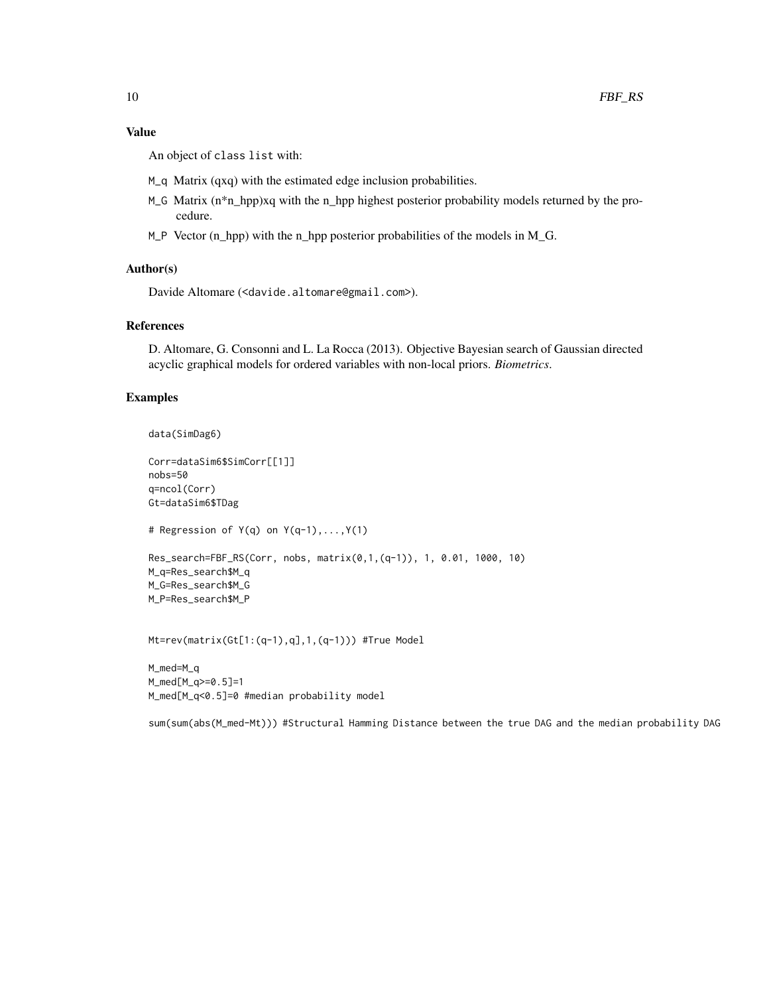#### Value

An object of class list with:

- M\_q Matrix (qxq) with the estimated edge inclusion probabilities.
- M\_G Matrix (n\*n\_hpp)xq with the n\_hpp highest posterior probability models returned by the procedure.
- $M_P$  Vector (n\_hpp) with the n\_hpp posterior probabilities of the models in  $M_G$ .

#### Author(s)

Davide Altomare (<davide.altomare@gmail.com>).

#### References

D. Altomare, G. Consonni and L. La Rocca (2013). Objective Bayesian search of Gaussian directed acyclic graphical models for ordered variables with non-local priors. *Biometrics*.

#### Examples

```
data(SimDag6)
```

```
Corr=dataSim6$SimCorr[[1]]
nobs=50
q=ncol(Corr)
Gt=dataSim6$TDag
# Regression of Y(q) on Y(q-1),...,Y(1)
Res_search=FBF_RS(Corr, nobs, matrix(0,1,(q-1)), 1, 0.01, 1000, 10)
M_q=Res_search$M_q
M_G=Res_search$M_G
M_P=Res_search$M_P
```
Mt=rev(matrix(Gt[1:(q-1),q],1,(q-1))) #True Model

M\_med=M\_q M\_med[M\_q>=0.5]=1 M\_med[M\_q<0.5]=0 #median probability model

sum(sum(abs(M\_med-Mt))) #Structural Hamming Distance between the true DAG and the median probability DAG